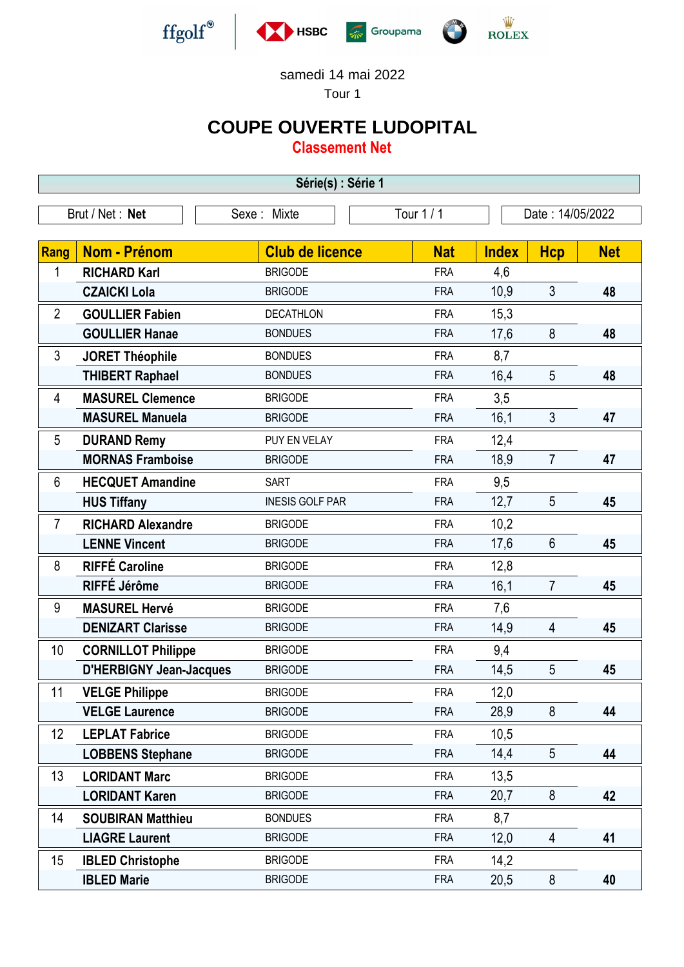

samedi 14 mai 2022

Tour 1

## **COUPE OUVERTE LUDOPITAL**

**Classement Net**

| Série(s) : Série 1 |                                |                        |            |              |                  |            |  |  |  |  |
|--------------------|--------------------------------|------------------------|------------|--------------|------------------|------------|--|--|--|--|
| Brut / Net: Net    |                                | Sexe: Mixte            | Tour $1/1$ |              | Date: 14/05/2022 |            |  |  |  |  |
|                    |                                |                        |            |              |                  |            |  |  |  |  |
| <b>Rang</b>        | <b>Nom - Prénom</b>            | <b>Club de licence</b> | <b>Nat</b> | <b>Index</b> | <b>Hcp</b>       | <b>Net</b> |  |  |  |  |
| 1                  | <b>RICHARD Karl</b>            | <b>BRIGODE</b>         | <b>FRA</b> | 4,6          |                  |            |  |  |  |  |
|                    | <b>CZAICKI Lola</b>            | <b>BRIGODE</b>         | <b>FRA</b> | 10,9         | $\mathfrak{Z}$   | 48         |  |  |  |  |
| $\overline{2}$     | <b>GOULLIER Fabien</b>         | <b>DECATHLON</b>       | <b>FRA</b> | 15,3         |                  |            |  |  |  |  |
|                    | <b>GOULLIER Hanae</b>          | <b>BONDUES</b>         | <b>FRA</b> | 17,6         | 8                | 48         |  |  |  |  |
| 3                  | <b>JORET Théophile</b>         | <b>BONDUES</b>         | <b>FRA</b> | 8,7          |                  |            |  |  |  |  |
|                    | <b>THIBERT Raphael</b>         | <b>BONDUES</b>         | <b>FRA</b> | 16,4         | 5                | 48         |  |  |  |  |
| $\overline{4}$     | <b>MASUREL Clemence</b>        | <b>BRIGODE</b>         | <b>FRA</b> | 3,5          |                  |            |  |  |  |  |
|                    | <b>MASUREL Manuela</b>         | <b>BRIGODE</b>         | <b>FRA</b> | 16,1         | 3                | 47         |  |  |  |  |
| 5                  | <b>DURAND Remy</b>             | PUY EN VELAY           | <b>FRA</b> | 12,4         |                  |            |  |  |  |  |
|                    | <b>MORNAS Framboise</b>        | <b>BRIGODE</b>         | <b>FRA</b> | 18,9         | $\overline{7}$   | 47         |  |  |  |  |
| $6\phantom{1}$     | <b>HECQUET Amandine</b>        | <b>SART</b>            | <b>FRA</b> | 9,5          |                  |            |  |  |  |  |
|                    | <b>HUS Tiffany</b>             | <b>INESIS GOLF PAR</b> | <b>FRA</b> | 12,7         | 5                | 45         |  |  |  |  |
| 7                  | <b>RICHARD Alexandre</b>       | <b>BRIGODE</b>         | <b>FRA</b> | 10,2         |                  |            |  |  |  |  |
|                    | <b>LENNE Vincent</b>           | <b>BRIGODE</b>         | <b>FRA</b> | 17,6         | $6\phantom{1}$   | 45         |  |  |  |  |
| 8                  | <b>RIFFÉ Caroline</b>          | <b>BRIGODE</b>         | <b>FRA</b> | 12,8         |                  |            |  |  |  |  |
|                    | RIFFÉ Jérôme                   | <b>BRIGODE</b>         | <b>FRA</b> | 16,1         | $\overline{7}$   | 45         |  |  |  |  |
| 9                  | <b>MASUREL Hervé</b>           | <b>BRIGODE</b>         | <b>FRA</b> | 7,6          |                  |            |  |  |  |  |
|                    | <b>DENIZART Clarisse</b>       | <b>BRIGODE</b>         | <b>FRA</b> | 14,9         | 4                | 45         |  |  |  |  |
| 10                 | <b>CORNILLOT Philippe</b>      | <b>BRIGODE</b>         | <b>FRA</b> | 9,4          |                  |            |  |  |  |  |
|                    | <b>D'HERBIGNY Jean-Jacques</b> | <b>BRIGODE</b>         | <b>FRA</b> | 14,5         | 5                | 45         |  |  |  |  |
| 11                 | <b>VELGE Philippe</b>          | <b>BRIGODE</b>         | <b>FRA</b> | 12,0         |                  |            |  |  |  |  |
|                    | <b>VELGE Laurence</b>          | <b>BRIGODE</b>         | <b>FRA</b> | 28,9         | 8                | 44         |  |  |  |  |
| 12                 | <b>LEPLAT Fabrice</b>          | <b>BRIGODE</b>         | <b>FRA</b> | 10,5         |                  |            |  |  |  |  |
|                    | <b>LOBBENS Stephane</b>        | <b>BRIGODE</b>         | <b>FRA</b> | 14,4         | 5                | 44         |  |  |  |  |
| 13                 | <b>LORIDANT Marc</b>           | <b>BRIGODE</b>         | <b>FRA</b> | 13,5         |                  |            |  |  |  |  |
|                    | <b>LORIDANT Karen</b>          | <b>BRIGODE</b>         | <b>FRA</b> | 20,7         | 8                | 42         |  |  |  |  |
| 14                 | <b>SOUBIRAN Matthieu</b>       | <b>BONDUES</b>         | <b>FRA</b> | 8,7          |                  |            |  |  |  |  |
|                    | <b>LIAGRE Laurent</b>          | <b>BRIGODE</b>         | <b>FRA</b> | 12,0         | $\overline{4}$   | 41         |  |  |  |  |
| 15                 | <b>IBLED Christophe</b>        | <b>BRIGODE</b>         | <b>FRA</b> | 14,2         |                  |            |  |  |  |  |
|                    | <b>IBLED Marie</b>             | <b>BRIGODE</b>         | <b>FRA</b> | 20,5         | 8                | 40         |  |  |  |  |